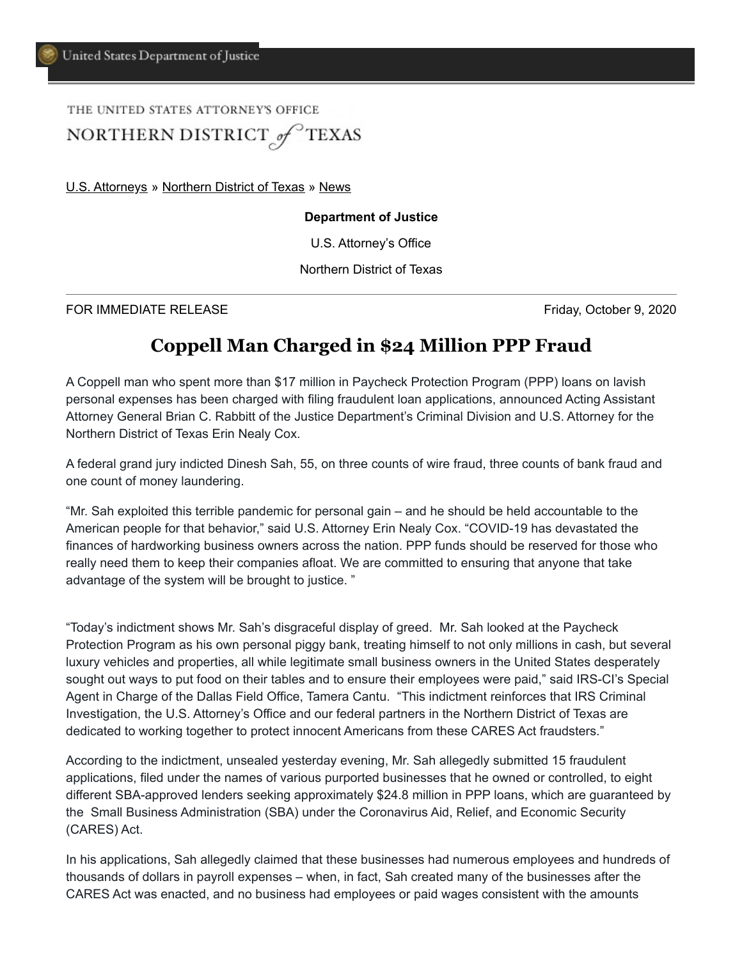## THE UNITED STATES ATTORNEY'S OFFICE NORTHERN DISTRICT of TEXAS

[U.S. Attorneys](https://www.justice.gov/usao) » [Northern District of Texas](https://www.justice.gov/usao-ndtx) » [News](https://www.justice.gov/usao-ndtx/pr)

## **Department of Justice**

U.S. Attorney's Office

Northern District of Texas

FOR IMMEDIATE RELEASE Friday, October 9, 2020

## **Coppell Man Charged in \$24 Million PPP Fraud**

A Coppell man who spent more than \$17 million in Paycheck Protection Program (PPP) loans on lavish personal expenses has been charged with filing fraudulent loan applications, announced Acting Assistant Attorney General Brian C. Rabbitt of the Justice Department's Criminal Division and U.S. Attorney for the Northern District of Texas Erin Nealy Cox.

A federal grand jury indicted Dinesh Sah, 55, on three counts of wire fraud, three counts of bank fraud and one count of money laundering.

"Mr. Sah exploited this terrible pandemic for personal gain – and he should be held accountable to the American people for that behavior," said U.S. Attorney Erin Nealy Cox. "COVID-19 has devastated the finances of hardworking business owners across the nation. PPP funds should be reserved for those who really need them to keep their companies afloat. We are committed to ensuring that anyone that take advantage of the system will be brought to justice. "

"Today's indictment shows Mr. Sah's disgraceful display of greed. Mr. Sah looked at the Paycheck Protection Program as his own personal piggy bank, treating himself to not only millions in cash, but several luxury vehicles and properties, all while legitimate small business owners in the United States desperately sought out ways to put food on their tables and to ensure their employees were paid," said IRS-CI's Special Agent in Charge of the Dallas Field Office, Tamera Cantu. "This indictment reinforces that IRS Criminal Investigation, the U.S. Attorney's Office and our federal partners in the Northern District of Texas are dedicated to working together to protect innocent Americans from these CARES Act fraudsters."

According to the indictment, unsealed yesterday evening, Mr. Sah allegedly submitted 15 fraudulent applications, filed under the names of various purported businesses that he owned or controlled, to eight different SBA-approved lenders seeking approximately \$24.8 million in PPP loans, which are guaranteed by the Small Business Administration (SBA) under the Coronavirus Aid, Relief, and Economic Security (CARES) Act.

In his applications, Sah allegedly claimed that these businesses had numerous employees and hundreds of thousands of dollars in payroll expenses – when, in fact, Sah created many of the businesses after the CARES Act was enacted, and no business had employees or paid wages consistent with the amounts